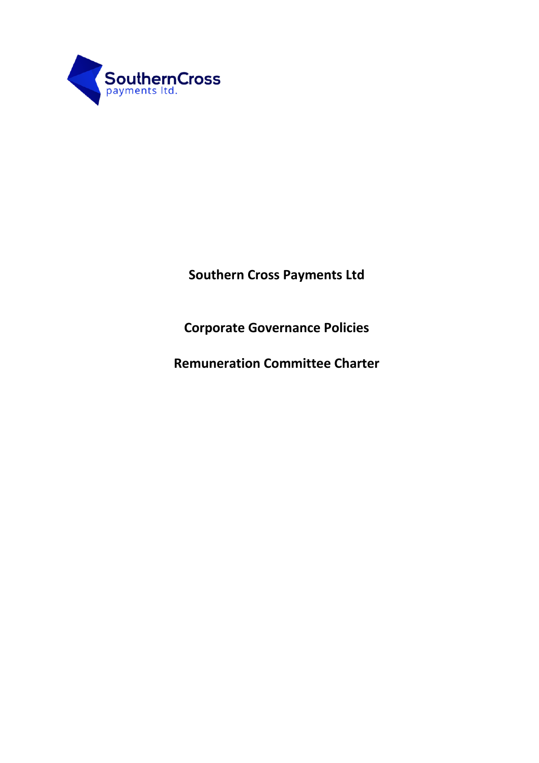

**Southern Cross Payments Ltd**

**Corporate Governance Policies**

**Remuneration Committee Charter**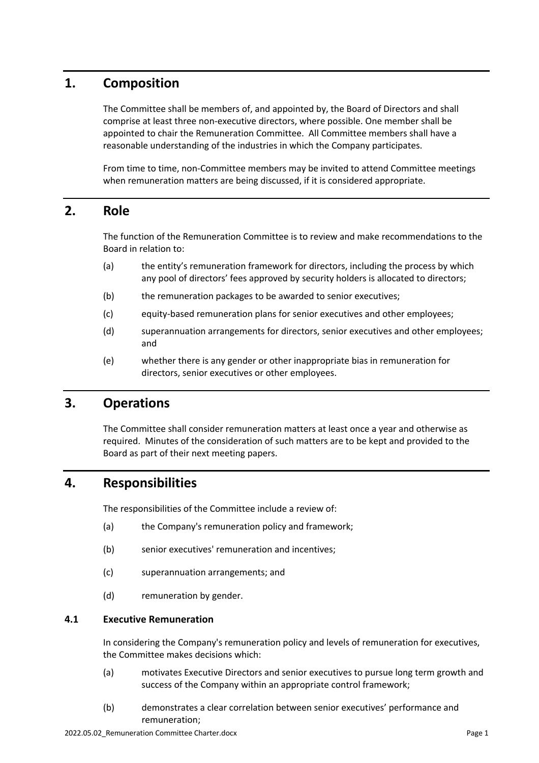# **1. Composition**

The Committee shall be members of, and appointed by, the Board of Directors and shall comprise at least three non-executive directors, where possible. One member shall be appointed to chair the Remuneration Committee. All Committee members shall have a reasonable understanding of the industries in which the Company participates.

From time to time, non-Committee members may be invited to attend Committee meetings when remuneration matters are being discussed, if it is considered appropriate.

### **2. Role**

The function of the Remuneration Committee is to review and make recommendations to the Board in relation to:

- (a) the entity's remuneration framework for directors, including the process by which any pool of directors' fees approved by security holders is allocated to directors;
- (b) the remuneration packages to be awarded to senior executives;
- (c) equity-based remuneration plans for senior executives and other employees;
- (d) superannuation arrangements for directors, senior executives and other employees; and
- (e) whether there is any gender or other inappropriate bias in remuneration for directors, senior executives or other employees.

### **3. Operations**

The Committee shall consider remuneration matters at least once a year and otherwise as required. Minutes of the consideration of such matters are to be kept and provided to the Board as part of their next meeting papers.

# **4. Responsibilities**

The responsibilities of the Committee include a review of:

- (a) the Company's remuneration policy and framework;
- (b) senior executives' remuneration and incentives;
- (c) superannuation arrangements; and
- (d) remuneration by gender.

### **4.1 Executive Remuneration**

In considering the Company's remuneration policy and levels of remuneration for executives, the Committee makes decisions which:

- (a) motivates Executive Directors and senior executives to pursue long term growth and success of the Company within an appropriate control framework;
- (b) demonstrates a clear correlation between senior executives' performance and remuneration;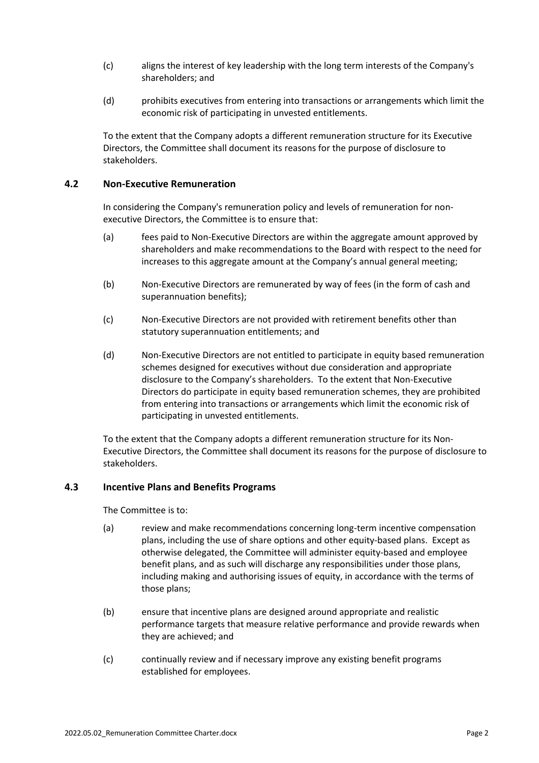- (c) aligns the interest of key leadership with the long term interests of the Company's shareholders; and
- (d) prohibits executives from entering into transactions or arrangements which limit the economic risk of participating in unvested entitlements.

To the extent that the Company adopts a different remuneration structure for its Executive Directors, the Committee shall document its reasons for the purpose of disclosure to stakeholders.

### **4.2 Non-Executive Remuneration**

In considering the Company's remuneration policy and levels of remuneration for nonexecutive Directors, the Committee is to ensure that:

- (a) fees paid to Non-Executive Directors are within the aggregate amount approved by shareholders and make recommendations to the Board with respect to the need for increases to this aggregate amount at the Company's annual general meeting;
- (b) Non-Executive Directors are remunerated by way of fees (in the form of cash and superannuation benefits);
- (c) Non-Executive Directors are not provided with retirement benefits other than statutory superannuation entitlements; and
- (d) Non-Executive Directors are not entitled to participate in equity based remuneration schemes designed for executives without due consideration and appropriate disclosure to the Company's shareholders. To the extent that Non-Executive Directors do participate in equity based remuneration schemes, they are prohibited from entering into transactions or arrangements which limit the economic risk of participating in unvested entitlements.

To the extent that the Company adopts a different remuneration structure for its Non-Executive Directors, the Committee shall document its reasons for the purpose of disclosure to stakeholders.

#### **4.3 Incentive Plans and Benefits Programs**

The Committee is to:

- (a) review and make recommendations concerning long-term incentive compensation plans, including the use of share options and other equity-based plans. Except as otherwise delegated, the Committee will administer equity-based and employee benefit plans, and as such will discharge any responsibilities under those plans, including making and authorising issues of equity, in accordance with the terms of those plans;
- (b) ensure that incentive plans are designed around appropriate and realistic performance targets that measure relative performance and provide rewards when they are achieved; and
- (c) continually review and if necessary improve any existing benefit programs established for employees.